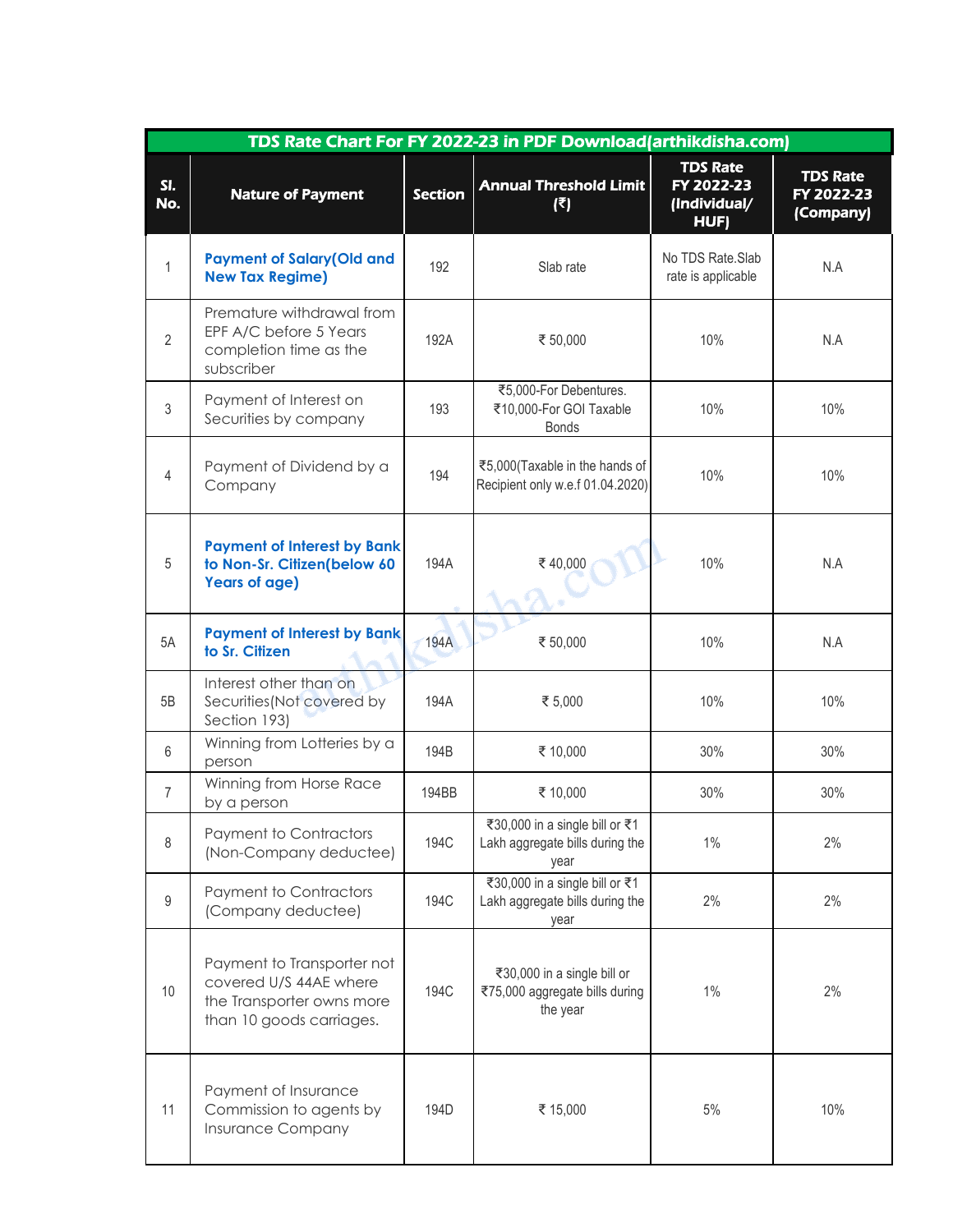| TDS Rate Chart For FY 2022-23 in PDF Download(arthikdisha.com) |                                                                                                               |                |                                                                           |                                                       |                                            |  |  |  |
|----------------------------------------------------------------|---------------------------------------------------------------------------------------------------------------|----------------|---------------------------------------------------------------------------|-------------------------------------------------------|--------------------------------------------|--|--|--|
| SI.<br>No.                                                     | <b>Nature of Payment</b>                                                                                      | <b>Section</b> | <b>Annual Threshold Limit</b><br>$(\overline{\epsilon})$                  | <b>TDS Rate</b><br>FY 2022-23<br>(Individual/<br>HUF) | <b>TDS Rate</b><br>FY 2022-23<br>(Company) |  |  |  |
| $\mathbf{1}$                                                   | <b>Payment of Salary (Old and</b><br><b>New Tax Regime)</b>                                                   | 192            | Slab rate                                                                 | No TDS Rate.Slab<br>rate is applicable                | N.A                                        |  |  |  |
| $\overline{2}$                                                 | Premature withdrawal from<br>EPF A/C before 5 Years<br>completion time as the<br>subscriber                   | 192A           | ₹ 50,000                                                                  | 10%                                                   | N.A                                        |  |  |  |
| 3                                                              | Payment of Interest on<br>Securities by company                                                               | 193            | ₹5,000-For Debentures.<br>₹10,000-For GOI Taxable<br><b>Bonds</b>         | 10%                                                   | 10%                                        |  |  |  |
| 4                                                              | Payment of Dividend by a<br>Company                                                                           | 194            | ₹5,000(Taxable in the hands of<br>Recipient only w.e.f 01.04.2020)        | 10%                                                   | 10%                                        |  |  |  |
| 5                                                              | <b>Payment of Interest by Bank</b><br>to Non-Sr. Citizen(below 60<br><b>Years of age)</b>                     | 194A           | ₹40,000                                                                   | 10%                                                   | N.A                                        |  |  |  |
| 5A                                                             | <b>Payment of Interest by Bank</b><br>to Sr. Citizen                                                          | <b>194A</b>    | ₹ 50,000                                                                  | 10%                                                   | N.A                                        |  |  |  |
| 5B                                                             | Interest other than on<br>Securities (Not covered by<br>Section 193)                                          | 194A           | ₹ 5,000                                                                   | 10%                                                   | 10%                                        |  |  |  |
| 6                                                              | Winning from Lotteries by a<br>person                                                                         | 194B           | ₹ 10,000                                                                  | 30%                                                   | 30%                                        |  |  |  |
| $\overline{7}$                                                 | Winning from Horse Race<br>by a person                                                                        | 194BB          | ₹ 10,000                                                                  | 30%                                                   | 30%                                        |  |  |  |
| 8                                                              | Payment to Contractors<br>(Non-Company deductee)                                                              | 194C           | ₹30,000 in a single bill or ₹1<br>Lakh aggregate bills during the<br>year | $1\%$                                                 | 2%                                         |  |  |  |
| 9                                                              | Payment to Contractors<br>(Company deductee)                                                                  | 194C           | ₹30,000 in a single bill or ₹1<br>Lakh aggregate bills during the<br>year | 2%                                                    | 2%                                         |  |  |  |
| 10                                                             | Payment to Transporter not<br>covered U/S 44AE where<br>the Transporter owns more<br>than 10 goods carriages. | <b>194C</b>    | ₹30,000 in a single bill or<br>₹75,000 aggregate bills during<br>the year | $1\%$                                                 | 2%                                         |  |  |  |
| 11                                                             | Payment of Insurance<br>Commission to agents by<br>Insurance Company                                          | 194D           | ₹ 15,000                                                                  | $5\%$                                                 | 10%                                        |  |  |  |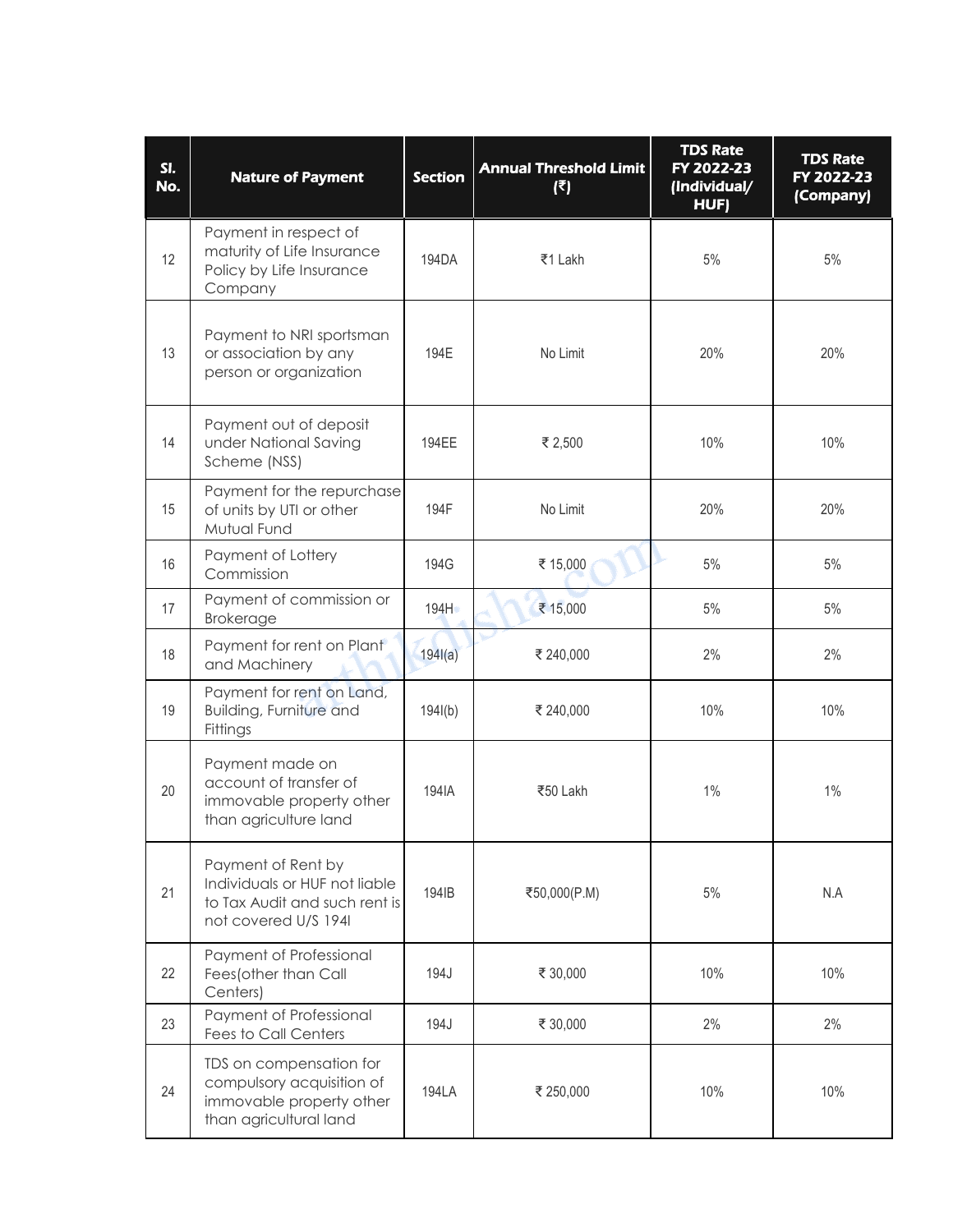| SI.<br>No. | <b>Nature of Payment</b>                                                                                     | <b>Section</b> | <b>Annual Threshold Limit</b><br>$(\overline{\epsilon})$ | <b>TDS Rate</b><br>FY 2022-23<br>(Individual/<br>HUF) | <b>TDS Rate</b><br>FY 2022-23<br>(Company) |
|------------|--------------------------------------------------------------------------------------------------------------|----------------|----------------------------------------------------------|-------------------------------------------------------|--------------------------------------------|
| 12         | Payment in respect of<br>maturity of Life Insurance<br>Policy by Life Insurance<br>Company                   | 194DA          | ₹1 Lakh                                                  | 5%                                                    | $5\%$                                      |
| 13         | Payment to NRI sportsman<br>or association by any<br>person or organization                                  | 194E           | No Limit                                                 | 20%                                                   | 20%                                        |
| 14         | Payment out of deposit<br>under National Saving<br>Scheme (NSS)                                              | 194EE          | ₹ 2,500                                                  | 10%                                                   | 10%                                        |
| 15         | Payment for the repurchase<br>of units by UTI or other<br>Mutual Fund                                        | 194F           | No Limit                                                 | 20%                                                   | 20%                                        |
| 16         | Payment of Lottery<br>Commission                                                                             | 194G           | ₹ 15,000                                                 | $5%$                                                  | 5%                                         |
| 17         | Payment of commission or<br><b>Brokerage</b>                                                                 | 194H           | ₹ 15,000                                                 | 5%                                                    | 5%                                         |
| 18         | Payment for rent on Plant<br>and Machinery                                                                   | 194I(a)        | ₹ 240,000                                                | 2%                                                    | 2%                                         |
| 19         | Payment for rent on Land,<br><b>Building, Furniture and</b><br>Fittings                                      | 194I(b)        | ₹ 240,000                                                | 10%                                                   | 10%                                        |
| 20         | Payment made on<br>account of transfer of<br>immovable property other<br>than agriculture land               | 194IA          | ₹50 Lakh                                                 | 1%                                                    | $1\%$                                      |
| 21         | Payment of Rent by<br>Individuals or HUF not liable<br>to Tax Audit and such rent is<br>not covered U/S 194I | 194IB          | ₹50,000(P.M)                                             | 5%                                                    | N.A                                        |
| 22         | Payment of Professional<br>Fees(other than Call<br>Centers)                                                  | 194J           | ₹ 30,000                                                 | 10%                                                   | 10%                                        |
| 23         | Payment of Professional<br><b>Fees to Call Centers</b>                                                       | 194J           | ₹ 30,000                                                 | 2%                                                    | 2%                                         |
| 24         | TDS on compensation for<br>compulsory acquisition of<br>immovable property other<br>than agricultural land   | <b>194LA</b>   | ₹ 250,000                                                | 10%                                                   | 10%                                        |